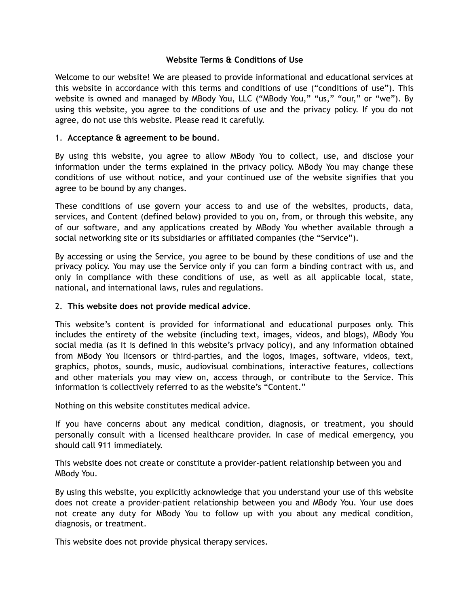# **Website Terms & Conditions of Use**

Welcome to our website! We are pleased to provide informational and educational services at this website in accordance with this terms and conditions of use ("conditions of use"). This website is owned and managed by MBody You, LLC ("MBody You," "us," "our," or "we"). By using this website, you agree to the conditions of use and the privacy policy. If you do not agree, do not use this website. Please read it carefully.

# 1. **Acceptance & agreement to be bound**.

By using this website, you agree to allow MBody You to collect, use, and disclose your information under the terms explained in the privacy policy. MBody You may change these conditions of use without notice, and your continued use of the website signifies that you agree to be bound by any changes.

These conditions of use govern your access to and use of the websites, products, data, services, and Content (defined below) provided to you on, from, or through this website, any of our software, and any applications created by MBody You whether available through a social networking site or its subsidiaries or affiliated companies (the "Service").

By accessing or using the Service, you agree to be bound by these conditions of use and the privacy policy. You may use the Service only if you can form a binding contract with us, and only in compliance with these conditions of use, as well as all applicable local, state, national, and international laws, rules and regulations.

## 2. **This website does not provide medical advice**.

This website's content is provided for informational and educational purposes only. This includes the entirety of the website (including text, images, videos, and blogs), MBody You social media (as it is defined in this website's privacy policy), and any information obtained from MBody You licensors or third-parties, and the logos, images, software, videos, text, graphics, photos, sounds, music, audiovisual combinations, interactive features, collections and other materials you may view on, access through, or contribute to the Service. This information is collectively referred to as the website's "Content."

Nothing on this website constitutes medical advice.

If you have concerns about any medical condition, diagnosis, or treatment, you should personally consult with a licensed healthcare provider. In case of medical emergency, you should call 911 immediately.

This website does not create or constitute a provider-patient relationship between you and MBody You.

By using this website, you explicitly acknowledge that you understand your use of this website does not create a provider-patient relationship between you and MBody You. Your use does not create any duty for MBody You to follow up with you about any medical condition, diagnosis, or treatment.

This website does not provide physical therapy services.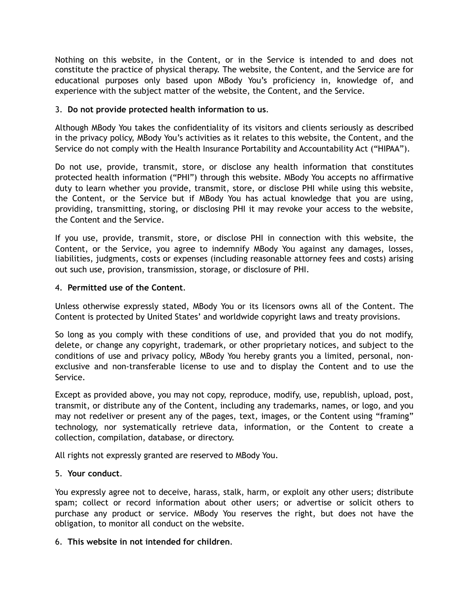Nothing on this website, in the Content, or in the Service is intended to and does not constitute the practice of physical therapy. The website, the Content, and the Service are for educational purposes only based upon MBody You's proficiency in, knowledge of, and experience with the subject matter of the website, the Content, and the Service.

# 3. **Do not provide protected health information to us**.

Although MBody You takes the confidentiality of its visitors and clients seriously as described in the privacy policy, MBody You's activities as it relates to this website, the Content, and the Service do not comply with the Health Insurance Portability and Accountability Act ("HIPAA").

Do not use, provide, transmit, store, or disclose any health information that constitutes protected health information ("PHI") through this website. MBody You accepts no affirmative duty to learn whether you provide, transmit, store, or disclose PHI while using this website, the Content, or the Service but if MBody You has actual knowledge that you are using, providing, transmitting, storing, or disclosing PHI it may revoke your access to the website, the Content and the Service.

If you use, provide, transmit, store, or disclose PHI in connection with this website, the Content, or the Service, you agree to indemnify MBody You against any damages, losses, liabilities, judgments, costs or expenses (including reasonable attorney fees and costs) arising out such use, provision, transmission, storage, or disclosure of PHI.

## 4. **Permitted use of the Content**.

Unless otherwise expressly stated, MBody You or its licensors owns all of the Content. The Content is protected by United States' and worldwide copyright laws and treaty provisions.

So long as you comply with these conditions of use, and provided that you do not modify, delete, or change any copyright, trademark, or other proprietary notices, and subject to the conditions of use and privacy policy, MBody You hereby grants you a limited, personal, nonexclusive and non-transferable license to use and to display the Content and to use the Service.

Except as provided above, you may not copy, reproduce, modify, use, republish, upload, post, transmit, or distribute any of the Content, including any trademarks, names, or logo, and you may not redeliver or present any of the pages, text, images, or the Content using "framing" technology, nor systematically retrieve data, information, or the Content to create a collection, compilation, database, or directory.

All rights not expressly granted are reserved to MBody You.

## 5. **Your conduct**.

You expressly agree not to deceive, harass, stalk, harm, or exploit any other users; distribute spam; collect or record information about other users; or advertise or solicit others to purchase any product or service. MBody You reserves the right, but does not have the obligation, to monitor all conduct on the website.

#### 6. **This website in not intended for children**.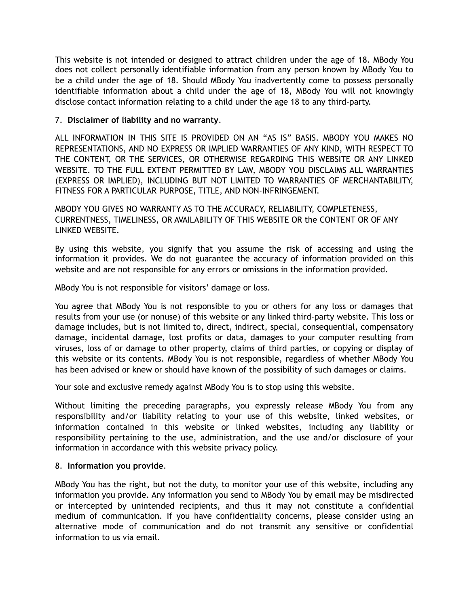This website is not intended or designed to attract children under the age of 18. MBody You does not collect personally identifiable information from any person known by MBody You to be a child under the age of 18. Should MBody You inadvertently come to possess personally identifiable information about a child under the age of 18, MBody You will not knowingly disclose contact information relating to a child under the age 18 to any third-party.

## 7. **Disclaimer of liability and no warranty**.

ALL INFORMATION IN THIS SITE IS PROVIDED ON AN "AS IS" BASIS. MBODY YOU MAKES NO REPRESENTATIONS, AND NO EXPRESS OR IMPLIED WARRANTIES OF ANY KIND, WITH RESPECT TO THE CONTENT, OR THE SERVICES, OR OTHERWISE REGARDING THIS WEBSITE OR ANY LINKED WEBSITE. TO THE FULL EXTENT PERMITTED BY LAW, MBODY YOU DISCLAIMS ALL WARRANTIES (EXPRESS OR IMPLIED), INCLUDING BUT NOT LIMITED TO WARRANTIES OF MERCHANTABILITY, FITNESS FOR A PARTICULAR PURPOSE, TITLE, AND NON-INFRINGEMENT.

MBODY YOU GIVES NO WARRANTY AS TO THE ACCURACY, RELIABILITY, COMPLETENESS, CURRENTNESS, TIMELINESS, OR AVAILABILITY OF THIS WEBSITE OR the CONTENT OR OF ANY LINKED WEBSITE.

By using this website, you signify that you assume the risk of accessing and using the information it provides. We do not guarantee the accuracy of information provided on this website and are not responsible for any errors or omissions in the information provided.

MBody You is not responsible for visitors' damage or loss.

You agree that MBody You is not responsible to you or others for any loss or damages that results from your use (or nonuse) of this website or any linked third-party website. This loss or damage includes, but is not limited to, direct, indirect, special, consequential, compensatory damage, incidental damage, lost profits or data, damages to your computer resulting from viruses, loss of or damage to other property, claims of third parties, or copying or display of this website or its contents. MBody You is not responsible, regardless of whether MBody You has been advised or knew or should have known of the possibility of such damages or claims.

Your sole and exclusive remedy against MBody You is to stop using this website.

Without limiting the preceding paragraphs, you expressly release MBody You from any responsibility and/or liability relating to your use of this website, linked websites, or information contained in this website or linked websites, including any liability or responsibility pertaining to the use, administration, and the use and/or disclosure of your information in accordance with this website privacy policy.

## 8. **Information you provide**.

MBody You has the right, but not the duty, to monitor your use of this website, including any information you provide. Any information you send to MBody You by email may be misdirected or intercepted by unintended recipients, and thus it may not constitute a confidential medium of communication. If you have confidentiality concerns, please consider using an alternative mode of communication and do not transmit any sensitive or confidential information to us via email.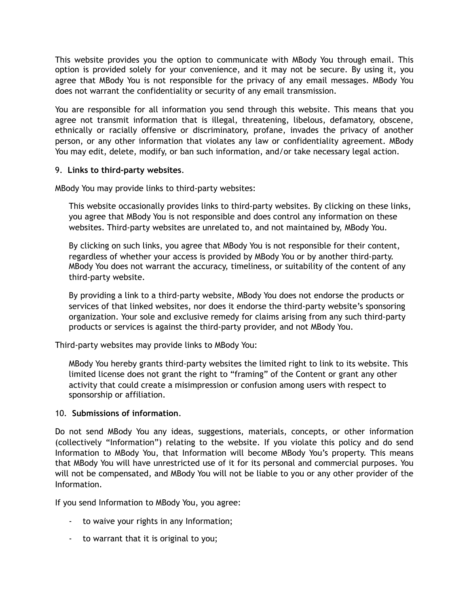This website provides you the option to communicate with MBody You through email. This option is provided solely for your convenience, and it may not be secure. By using it, you agree that MBody You is not responsible for the privacy of any email messages. MBody You does not warrant the confidentiality or security of any email transmission.

You are responsible for all information you send through this website. This means that you agree not transmit information that is illegal, threatening, libelous, defamatory, obscene, ethnically or racially offensive or discriminatory, profane, invades the privacy of another person, or any other information that violates any law or confidentiality agreement. MBody You may edit, delete, modify, or ban such information, and/or take necessary legal action.

## 9. **Links to third-party websites**.

MBody You may provide links to third-party websites:

This website occasionally provides links to third-party websites. By clicking on these links, you agree that MBody You is not responsible and does control any information on these websites. Third-party websites are unrelated to, and not maintained by, MBody You.

By clicking on such links, you agree that MBody You is not responsible for their content, regardless of whether your access is provided by MBody You or by another third-party. MBody You does not warrant the accuracy, timeliness, or suitability of the content of any third-party website.

By providing a link to a third-party website, MBody You does not endorse the products or services of that linked websites, nor does it endorse the third-party website's sponsoring organization. Your sole and exclusive remedy for claims arising from any such third-party products or services is against the third-party provider, and not MBody You.

Third-party websites may provide links to MBody You:

MBody You hereby grants third-party websites the limited right to link to its website. This limited license does not grant the right to "framing" of the Content or grant any other activity that could create a misimpression or confusion among users with respect to sponsorship or affiliation.

#### 10. **Submissions of information**.

Do not send MBody You any ideas, suggestions, materials, concepts, or other information (collectively "Information") relating to the website. If you violate this policy and do send Information to MBody You, that Information will become MBody You's property. This means that MBody You will have unrestricted use of it for its personal and commercial purposes. You will not be compensated, and MBody You will not be liable to you or any other provider of the Information.

If you send Information to MBody You, you agree:

- to waive your rights in any Information;
- to warrant that it is original to you;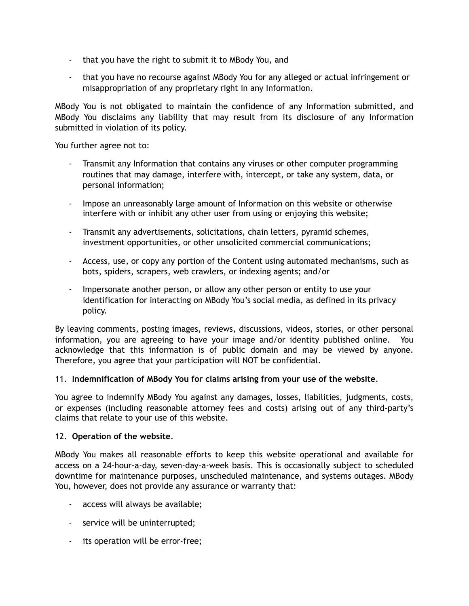- that you have the right to submit it to MBody You, and
- that you have no recourse against MBody You for any alleged or actual infringement or misappropriation of any proprietary right in any Information.

MBody You is not obligated to maintain the confidence of any Information submitted, and MBody You disclaims any liability that may result from its disclosure of any Information submitted in violation of its policy.

You further agree not to:

- Transmit any Information that contains any viruses or other computer programming routines that may damage, interfere with, intercept, or take any system, data, or personal information;
- Impose an unreasonably large amount of Information on this website or otherwise interfere with or inhibit any other user from using or enjoying this website;
- Transmit any advertisements, solicitations, chain letters, pyramid schemes, investment opportunities, or other unsolicited commercial communications;
- Access, use, or copy any portion of the Content using automated mechanisms, such as bots, spiders, scrapers, web crawlers, or indexing agents; and/or
- Impersonate another person, or allow any other person or entity to use your identification for interacting on MBody You's social media, as defined in its privacy policy.

By leaving comments, posting images, reviews, discussions, videos, stories, or other personal information, you are agreeing to have your image and/or identity published online. You acknowledge that this information is of public domain and may be viewed by anyone. Therefore, you agree that your participation will NOT be confidential.

## 11. **Indemnification of MBody You for claims arising from your use of the website**.

You agree to indemnify MBody You against any damages, losses, liabilities, judgments, costs, or expenses (including reasonable attorney fees and costs) arising out of any third-party's claims that relate to your use of this website.

#### 12. **Operation of the website**.

MBody You makes all reasonable efforts to keep this website operational and available for access on a 24-hour-a-day, seven-day-a-week basis. This is occasionally subject to scheduled downtime for maintenance purposes, unscheduled maintenance, and systems outages. MBody You, however, does not provide any assurance or warranty that:

- access will always be available;
- service will be uninterrupted;
- its operation will be error-free;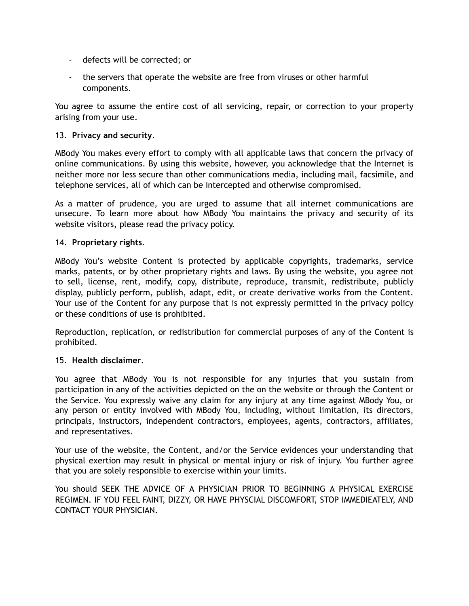- defects will be corrected; or
- the servers that operate the website are free from viruses or other harmful components.

You agree to assume the entire cost of all servicing, repair, or correction to your property arising from your use.

# 13. **Privacy and security**.

MBody You makes every effort to comply with all applicable laws that concern the privacy of online communications. By using this website, however, you acknowledge that the Internet is neither more nor less secure than other communications media, including mail, facsimile, and telephone services, all of which can be intercepted and otherwise compromised.

As a matter of prudence, you are urged to assume that all internet communications are unsecure. To learn more about how MBody You maintains the privacy and security of its website visitors, please read the privacy policy.

## 14. **Proprietary rights**.

MBody You's website Content is protected by applicable copyrights, trademarks, service marks, patents, or by other proprietary rights and laws. By using the website, you agree not to sell, license, rent, modify, copy, distribute, reproduce, transmit, redistribute, publicly display, publicly perform, publish, adapt, edit, or create derivative works from the Content. Your use of the Content for any purpose that is not expressly permitted in the privacy policy or these conditions of use is prohibited.

Reproduction, replication, or redistribution for commercial purposes of any of the Content is prohibited.

## 15. **Health disclaimer**.

You agree that MBody You is not responsible for any injuries that you sustain from participation in any of the activities depicted on the on the website or through the Content or the Service. You expressly waive any claim for any injury at any time against MBody You, or any person or entity involved with MBody You, including, without limitation, its directors, principals, instructors, independent contractors, employees, agents, contractors, affiliates, and representatives.

Your use of the website, the Content, and/or the Service evidences your understanding that physical exertion may result in physical or mental injury or risk of injury. You further agree that you are solely responsible to exercise within your limits.

You should SEEK THE ADVICE OF A PHYSICIAN PRIOR TO BEGINNING A PHYSICAL EXERCISE REGIMEN. IF YOU FEEL FAINT, DIZZY, OR HAVE PHYSCIAL DISCOMFORT, STOP IMMEDIEATELY, AND CONTACT YOUR PHYSICIAN.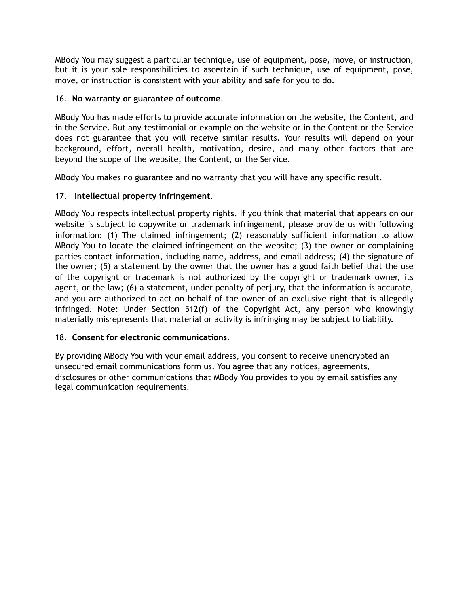MBody You may suggest a particular technique, use of equipment, pose, move, or instruction, but it is your sole responsibilities to ascertain if such technique, use of equipment, pose, move, or instruction is consistent with your ability and safe for you to do.

# 16. **No warranty or guarantee of outcome**.

MBody You has made efforts to provide accurate information on the website, the Content, and in the Service. But any testimonial or example on the website or in the Content or the Service does not guarantee that you will receive similar results. Your results will depend on your background, effort, overall health, motivation, desire, and many other factors that are beyond the scope of the website, the Content, or the Service.

MBody You makes no guarantee and no warranty that you will have any specific result.

# 17. **Intellectual property infringement**.

MBody You respects intellectual property rights. If you think that material that appears on our website is subject to copywrite or trademark infringement, please provide us with following information: (1) The claimed infringement; (2) reasonably sufficient information to allow MBody You to locate the claimed infringement on the website; (3) the owner or complaining parties contact information, including name, address, and email address; (4) the signature of the owner; (5) a statement by the owner that the owner has a good faith belief that the use of the copyright or trademark is not authorized by the copyright or trademark owner, its agent, or the law; (6) a statement, under penalty of perjury, that the information is accurate, and you are authorized to act on behalf of the owner of an exclusive right that is allegedly infringed. Note: Under Section 512(f) of the Copyright Act, any person who knowingly materially misrepresents that material or activity is infringing may be subject to liability.

# 18. **Consent for electronic communications**.

By providing MBody You with your email address, you consent to receive unencrypted an unsecured email communications form us. You agree that any notices, agreements, disclosures or other communications that MBody You provides to you by email satisfies any legal communication requirements.